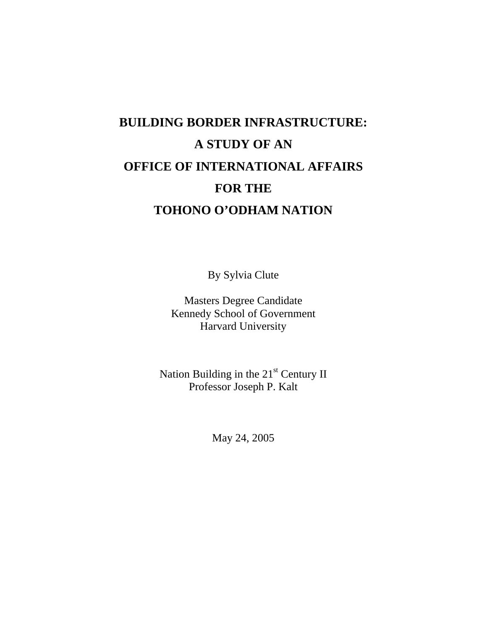# **BUILDING BORDER INFRASTRUCTURE: A STUDY OF AN OFFICE OF INTERNATIONAL AFFAIRS FOR THE TOHONO O'ODHAM NATION**

By Sylvia Clute

Masters Degree Candidate Kennedy School of Government Harvard University

Nation Building in the 21<sup>st</sup> Century II Professor Joseph P. Kalt

May 24, 2005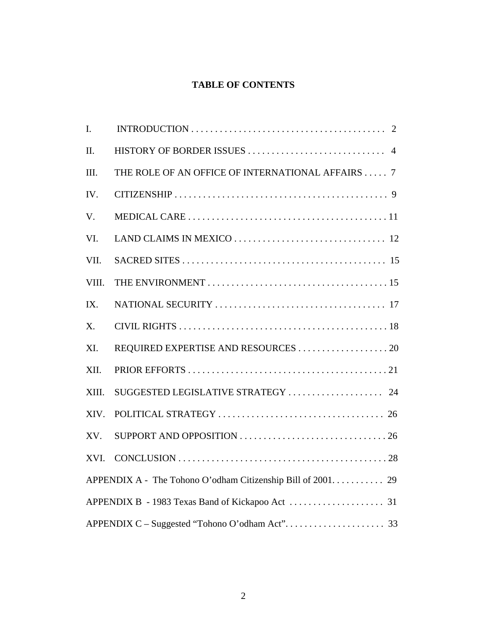## **TABLE OF CONTENTS**

| $\mathbf{I}$ . | INTRODUCTION $\ldots \ldots \ldots \ldots \ldots \ldots \ldots \ldots \ldots \ldots \ldots \ldots \ldots$ |
|----------------|-----------------------------------------------------------------------------------------------------------|
| II.            |                                                                                                           |
| III.           | THE ROLE OF AN OFFICE OF INTERNATIONAL AFFAIRS  7                                                         |
| IV.            |                                                                                                           |
| V.             |                                                                                                           |
| VI.            |                                                                                                           |
| VII.           |                                                                                                           |
| VIII.          |                                                                                                           |
| IX.            |                                                                                                           |
| X.             |                                                                                                           |
| XI.            |                                                                                                           |
| XII.           |                                                                                                           |
| XIII.          |                                                                                                           |
| XIV.           |                                                                                                           |
| XV.            |                                                                                                           |
| XVI.           |                                                                                                           |
|                |                                                                                                           |
|                |                                                                                                           |
|                |                                                                                                           |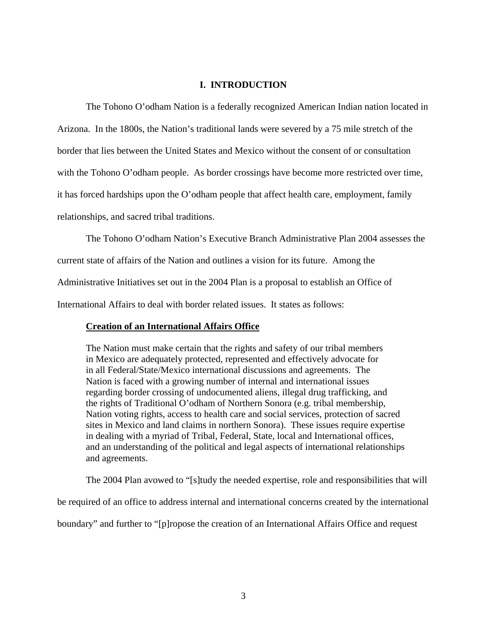## **I. INTRODUCTION**

The Tohono O'odham Nation is a federally recognized American Indian nation located in

Arizona. In the 1800s, the Nation's traditional lands were severed by a 75 mile stretch of the

border that lies between the United States and Mexico without the consent of or consultation

with the Tohono O'odham people. As border crossings have become more restricted over time,

it has forced hardships upon the O'odham people that affect health care, employment, family

relationships, and sacred tribal traditions.

The Tohono O'odham Nation's Executive Branch Administrative Plan 2004 assesses the

current state of affairs of the Nation and outlines a vision for its future. Among the

Administrative Initiatives set out in the 2004 Plan is a proposal to establish an Office of

International Affairs to deal with border related issues. It states as follows:

## **Creation of an International Affairs Office**

The Nation must make certain that the rights and safety of our tribal members in Mexico are adequately protected, represented and effectively advocate for in all Federal/State/Mexico international discussions and agreements. The Nation is faced with a growing number of internal and international issues regarding border crossing of undocumented aliens, illegal drug trafficking, and the rights of Traditional O'odham of Northern Sonora (e.g. tribal membership, Nation voting rights, access to health care and social services, protection of sacred sites in Mexico and land claims in northern Sonora). These issues require expertise in dealing with a myriad of Tribal, Federal, State, local and International offices, and an understanding of the political and legal aspects of international relationships and agreements.

The 2004 Plan avowed to "[s]tudy the needed expertise, role and responsibilities that will

be required of an office to address internal and international concerns created by the international

boundary" and further to "[p]ropose the creation of an International Affairs Office and request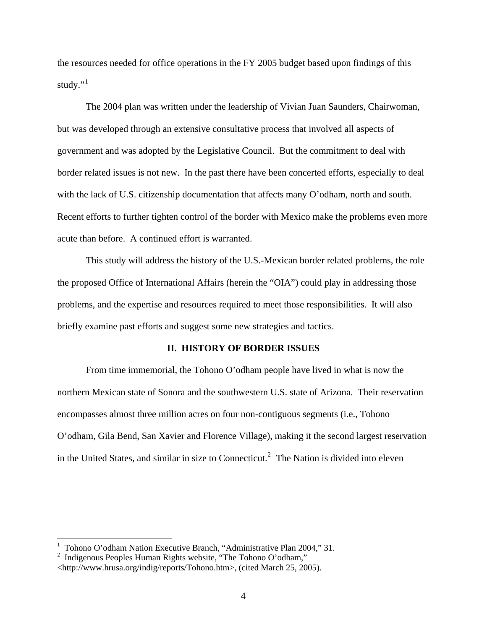the resources needed for office operations in the FY 2005 budget based upon findings of this study." $1$ 

The 2004 plan was written under the leadership of Vivian Juan Saunders, Chairwoman, but was developed through an extensive consultative process that involved all aspects of government and was adopted by the Legislative Council. But the commitment to deal with border related issues is not new. In the past there have been concerted efforts, especially to deal with the lack of U.S. citizenship documentation that affects many O'odham, north and south. Recent efforts to further tighten control of the border with Mexico make the problems even more acute than before. A continued effort is warranted.

This study will address the history of the U.S.-Mexican border related problems, the role the proposed Office of International Affairs (herein the "OIA") could play in addressing those problems, and the expertise and resources required to meet those responsibilities. It will also briefly examine past efforts and suggest some new strategies and tactics.

## **II. HISTORY OF BORDER ISSUES**

From time immemorial, the Tohono O'odham people have lived in what is now the northern Mexican state of Sonora and the southwestern U.S. state of Arizona. Their reservation encompasses almost three million acres on four non-contiguous segments (i.e., Tohono O'odham, Gila Bend, San Xavier and Florence Village), making it the second largest reservation in the United States, and similar in size to Connecticut.<sup>[2](#page-3-1)</sup> The Nation is divided into eleven

<span id="page-3-0"></span><sup>1</sup> Tohono O'odham Nation Executive Branch, "Administrative Plan 2004," 31.

<span id="page-3-1"></span><sup>2</sup> Indigenous Peoples Human Rights website, "The Tohono O'odham," <http://www.hrusa.org/indig/reports/Tohono.htm>, (cited March 25, 2005).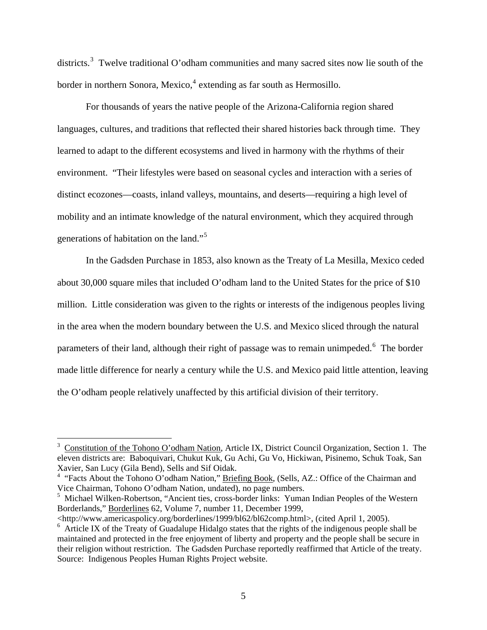districts.<sup>[3](#page-4-0)</sup> Twelve traditional O'odham communities and many sacred sites now lie south of the border in northern Sonora, Mexico,<sup>[4](#page-4-1)</sup> extending as far south as Hermosillo.

For thousands of years the native people of the Arizona-California region shared languages, cultures, and traditions that reflected their shared histories back through time. They learned to adapt to the different ecosystems and lived in harmony with the rhythms of their environment. "Their lifestyles were based on seasonal cycles and interaction with a series of distinct ecozones—coasts, inland valleys, mountains, and deserts—requiring a high level of mobility and an intimate knowledge of the natural environment, which they acquired through generations of habitation on the land."<sup>[5](#page-4-2)</sup>

In the Gadsden Purchase in 1853, also known as the Treaty of La Mesilla, Mexico ceded about 30,000 square miles that included O'odham land to the United States for the price of \$10 million. Little consideration was given to the rights or interests of the indigenous peoples living in the area when the modern boundary between the U.S. and Mexico sliced through the natural parameters of their land, although their right of passage was to remain unimpeded.<sup>[6](#page-4-3)</sup> The border made little difference for nearly a century while the U.S. and Mexico paid little attention, leaving the O'odham people relatively unaffected by this artificial division of their territory.

<span id="page-4-0"></span><sup>3</sup> Constitution of the Tohono O'odham Nation, Article IX, District Council Organization, Section 1. The eleven districts are: Baboquivari, Chukut Kuk, Gu Achi, Gu Vo, Hickiwan, Pisinemo, Schuk Toak, San Xavier, San Lucy (Gila Bend), Sells and Sif Oidak.

<span id="page-4-1"></span><sup>&</sup>lt;sup>4</sup> "Facts About the Tohono O'odham Nation," Briefing Book, (Sells, AZ.: Office of the Chairman and Vice Chairman, Tohono O'odham Nation, undated), no page numbers.

<span id="page-4-2"></span><sup>&</sup>lt;sup>5</sup> Michael Wilken-Robertson, "Ancient ties, cross-border links: Yuman Indian Peoples of the Western Borderlands," Borderlines 62, Volume 7, number 11, December 1999,

<sup>&</sup>lt;http://www.americaspolicy.org/borderlines/1999/bl62/bl62comp.html>, (cited April 1, 2005).

<span id="page-4-3"></span><sup>&</sup>lt;sup>6</sup> Article IX of the Treaty of Guadalupe Hidalgo states that the rights of the indigenous people shall be maintained and protected in the free enjoyment of liberty and property and the people shall be secure in their religion without restriction. The Gadsden Purchase reportedly reaffirmed that Article of the treaty. Source: Indigenous Peoples Human Rights Project website.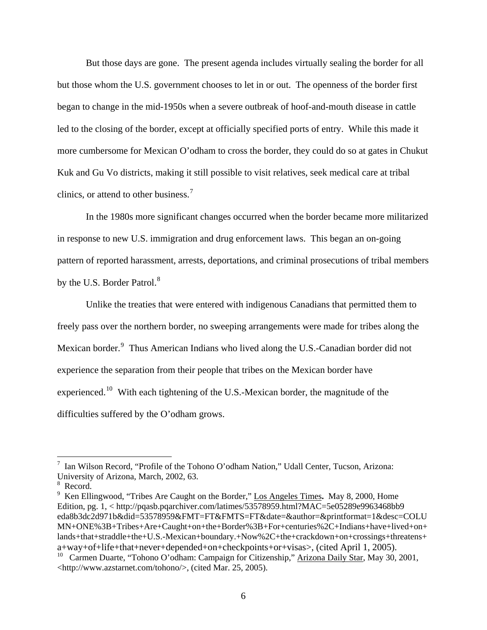But those days are gone. The present agenda includes virtually sealing the border for all but those whom the U.S. government chooses to let in or out. The openness of the border first began to change in the mid-1950s when a severe outbreak of hoof-and-mouth disease in cattle led to the closing of the border, except at officially specified ports of entry. While this made it more cumbersome for Mexican O'odham to cross the border, they could do so at gates in Chukut Kuk and Gu Vo districts, making it still possible to visit relatives, seek medical care at tribal clinics, or attend to other business.<sup>[7](#page-5-0)</sup>

In the 1980s more significant changes occurred when the border became more militarized in response to new U.S. immigration and drug enforcement laws. This began an on-going pattern of reported harassment, arrests, deportations, and criminal prosecutions of tribal members by the U.S. Border Patrol.<sup>[8](#page-5-1)</sup>

Unlike the treaties that were entered with indigenous Canadians that permitted them to freely pass over the northern border, no sweeping arrangements were made for tribes along the Mexican border.<sup>[9](#page-5-2)</sup> Thus American Indians who lived along the U.S.-Canadian border did not experience the separation from their people that tribes on the Mexican border have experienced.[10](#page-5-3) With each tightening of the U.S.-Mexican border, the magnitude of the difficulties suffered by the O'odham grows.

<span id="page-5-0"></span><sup>7</sup> Ian Wilson Record, "Profile of the Tohono O'odham Nation," Udall Center, Tucson, Arizona: University of Arizona, March, 2002, 63.

<span id="page-5-1"></span><sup>8</sup> Record.

<span id="page-5-2"></span><sup>9</sup> Ken Ellingwood, "Tribes Are Caught on the Border," Los Angeles Times**.** May 8, 2000, Home Edition, pg. 1, < http://pqasb.pqarchiver.com/latimes/53578959.html?MAC=5e05289e9963468bb9 eda8b3dc2d971b&did=53578959&FMT=FT&FMTS=FT&date=&author=&printformat=1&desc=COLU MN+ONE%3B+Tribes+Are+Caught+on+the+Border%3B+For+centuries%2C+Indians+have+lived+on+ lands+that+straddle+the+U.S.-Mexican+boundary.+Now%2C+the+crackdown+on+crossings+threatens+ a+way+of+life+that+never+depended+on+checkpoints+or+visas>, (cited April 1, 2005).

<span id="page-5-3"></span><sup>&</sup>lt;sup>10</sup> Carmen Duarte, "Tohono O'odham: Campaign for Citizenship," Arizona Daily Star, May 30, 2001, <http://www.azstarnet.com/tohono/>, (cited Mar. 25, 2005).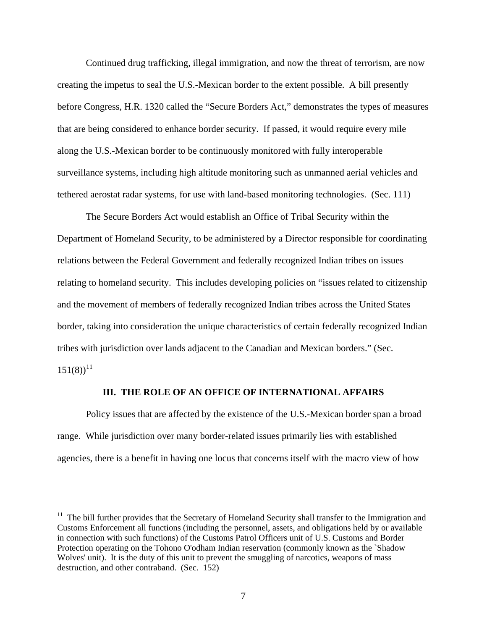Continued drug trafficking, illegal immigration, and now the threat of terrorism, are now creating the impetus to seal the U.S.-Mexican border to the extent possible. A bill presently before Congress, H.R. 1320 called the "Secure Borders Act," demonstrates the types of measures that are being considered to enhance border security. If passed, it would require every mile along the U.S.-Mexican border to be continuously monitored with fully interoperable surveillance systems, including high altitude monitoring such as unmanned aerial vehicles and tethered aerostat radar systems, for use with land-based monitoring technologies. (Sec. 111)

 The Secure Borders Act would establish an Office of Tribal Security within the Department of Homeland Security, to be administered by a Director responsible for coordinating relations between the Federal Government and federally recognized Indian tribes on issues relating to homeland security. This includes developing policies on "issues related to citizenship and the movement of members of federally recognized Indian tribes across the United States border, taking into consideration the unique characteristics of certain federally recognized Indian tribes with jurisdiction over lands adjacent to the Canadian and Mexican borders." (Sec.  $151(8)$ <sup>[11](#page-6-0)</sup>

#### **III. THE ROLE OF AN OFFICE OF INTERNATIONAL AFFAIRS**

Policy issues that are affected by the existence of the U.S.-Mexican border span a broad range. While jurisdiction over many border-related issues primarily lies with established agencies, there is a benefit in having one locus that concerns itself with the macro view of how

<span id="page-6-0"></span><sup>&</sup>lt;sup>11</sup> The bill further provides that the Secretary of Homeland Security shall transfer to the Immigration and Customs Enforcement all functions (including the personnel, assets, and obligations held by or available in connection with such functions) of the Customs Patrol Officers unit of U.S. Customs and Border Protection operating on the Tohono O'odham Indian reservation (commonly known as the `Shadow Wolves' unit). It is the duty of this unit to prevent the smuggling of narcotics, weapons of mass destruction, and other contraband. (Sec. 152)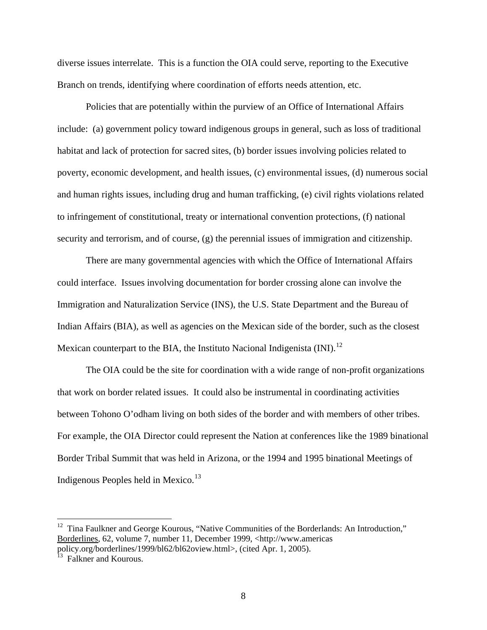diverse issues interrelate. This is a function the OIA could serve, reporting to the Executive Branch on trends, identifying where coordination of efforts needs attention, etc.

Policies that are potentially within the purview of an Office of International Affairs include: (a) government policy toward indigenous groups in general, such as loss of traditional habitat and lack of protection for sacred sites, (b) border issues involving policies related to poverty, economic development, and health issues, (c) environmental issues, (d) numerous social and human rights issues, including drug and human trafficking, (e) civil rights violations related to infringement of constitutional, treaty or international convention protections, (f) national security and terrorism, and of course, (g) the perennial issues of immigration and citizenship.

There are many governmental agencies with which the Office of International Affairs could interface. Issues involving documentation for border crossing alone can involve the Immigration and Naturalization Service (INS), the U.S. State Department and the Bureau of Indian Affairs (BIA), as well as agencies on the Mexican side of the border, such as the closest Mexican counterpart to the BIA, the Instituto Nacional Indigenista  $(INI)$ <sup>[12](#page-7-0)</sup>

The OIA could be the site for coordination with a wide range of non-profit organizations that work on border related issues. It could also be instrumental in coordinating activities between Tohono O'odham living on both sides of the border and with members of other tribes. For example, the OIA Director could represent the Nation at conferences like the 1989 binational Border Tribal Summit that was held in Arizona, or the 1994 and 1995 binational Meetings of Indigenous Peoples held in Mexico. $13$ 

<span id="page-7-0"></span> $12$  Tina Faulkner and George Kourous, "Native Communities of the Borderlands: An Introduction," Borderlines, 62, volume 7, number 11, December 1999, <http://www.americas policy.org/borderlines/1999/bl62/bl62oview.html>, (cited Apr. 1, 2005).

<span id="page-7-1"></span><sup>&</sup>lt;sup>13</sup> Falkner and Kourous.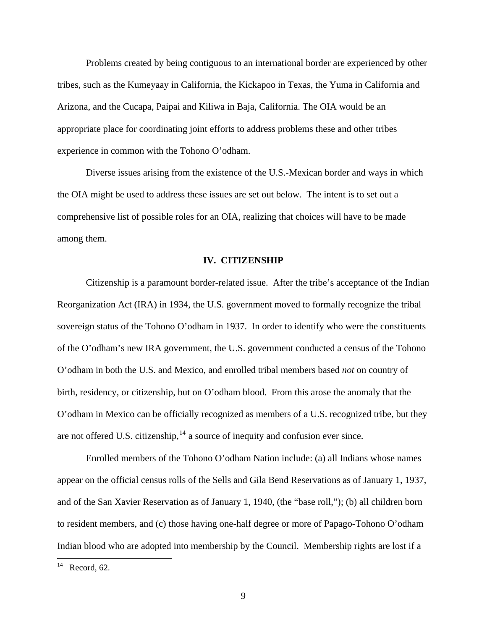Problems created by being contiguous to an international border are experienced by other tribes, such as the Kumeyaay in California, the Kickapoo in Texas, the Yuma in California and Arizona, and the Cucapa, Paipai and Kiliwa in Baja, California. The OIA would be an appropriate place for coordinating joint efforts to address problems these and other tribes experience in common with the Tohono O'odham.

Diverse issues arising from the existence of the U.S.-Mexican border and ways in which the OIA might be used to address these issues are set out below. The intent is to set out a comprehensive list of possible roles for an OIA, realizing that choices will have to be made among them.

#### **IV. CITIZENSHIP**

Citizenship is a paramount border-related issue. After the tribe's acceptance of the Indian Reorganization Act (IRA) in 1934, the U.S. government moved to formally recognize the tribal sovereign status of the Tohono O'odham in 1937. In order to identify who were the constituents of the O'odham's new IRA government, the U.S. government conducted a census of the Tohono O'odham in both the U.S. and Mexico, and enrolled tribal members based *not* on country of birth, residency, or citizenship, but on O'odham blood. From this arose the anomaly that the O'odham in Mexico can be officially recognized as members of a U.S. recognized tribe, but they are not offered U.S. citizenship,  $14$  a source of inequity and confusion ever since.

Enrolled members of the Tohono O'odham Nation include: (a) all Indians whose names appear on the official census rolls of the Sells and Gila Bend Reservations as of January 1, 1937, and of the San Xavier Reservation as of January 1, 1940, (the "base roll,"); (b) all children born to resident members, and (c) those having one-half degree or more of Papago-Tohono O'odham Indian blood who are adopted into membership by the Council. Membership rights are lost if a

<span id="page-8-0"></span> $^{14}$  Record, 62.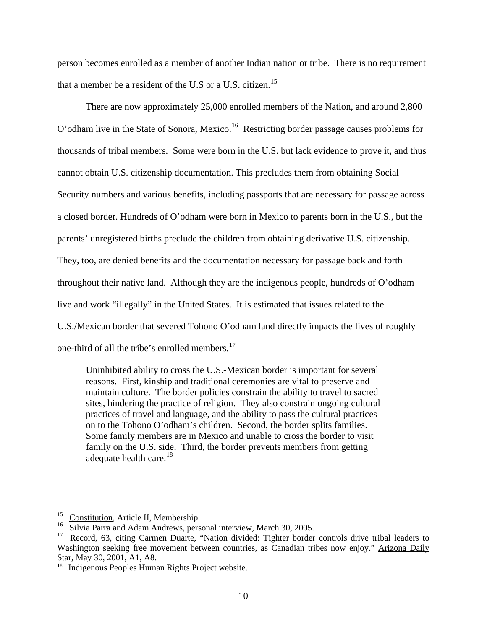person becomes enrolled as a member of another Indian nation or tribe. There is no requirement that a member be a resident of the U.S or a U.S. citizen.<sup>[15](#page-9-0)</sup>

There are now approximately 25,000 enrolled members of the Nation, and around 2,800 O'odham live in the State of Sonora, Mexico.[16](#page-9-1) Restricting border passage causes problems for thousands of tribal members. Some were born in the U.S. but lack evidence to prove it, and thus cannot obtain U.S. citizenship documentation. This precludes them from obtaining Social Security numbers and various benefits, including passports that are necessary for passage across a closed border. Hundreds of O'odham were born in Mexico to parents born in the U.S., but the parents' unregistered births preclude the children from obtaining derivative U.S. citizenship. They, too, are denied benefits and the documentation necessary for passage back and forth throughout their native land. Although they are the indigenous people, hundreds of O'odham live and work "illegally" in the United States. It is estimated that issues related to the U.S./Mexican border that severed Tohono O'odham land directly impacts the lives of roughly one-third of all the tribe's enrolled members. $17$ 

Uninhibited ability to cross the U.S.-Mexican border is important for several reasons. First, kinship and traditional ceremonies are vital to preserve and maintain culture. The border policies constrain the ability to travel to sacred sites, hindering the practice of religion. They also constrain ongoing cultural practices of travel and language, and the ability to pass the cultural practices on to the Tohono O'odham's children. Second, the border splits families. Some family members are in Mexico and unable to cross the border to visit family on the U.S. side. Third, the border prevents members from getting adequate health care. $^{18}$  $^{18}$  $^{18}$ 

<span id="page-9-0"></span> $^{15}$  Constitution, Article II, Membership.

<span id="page-9-1"></span><sup>&</sup>lt;sup>16</sup> Silvia Parra and Adam Andrews, personal interview, March 30, 2005.<br><sup>17</sup> Record 63 citing Carmen Duarte "Nation divided: Tighter border

<span id="page-9-2"></span>Record, 63, citing Carmen Duarte, "Nation divided: Tighter border controls drive tribal leaders to Washington seeking free movement between countries, as Canadian tribes now enjoy." Arizona Daily Star, May 30, 2001, A1, A8.<br><sup>18</sup> Indigenous Peoples Human Rights Project website.

<span id="page-9-3"></span>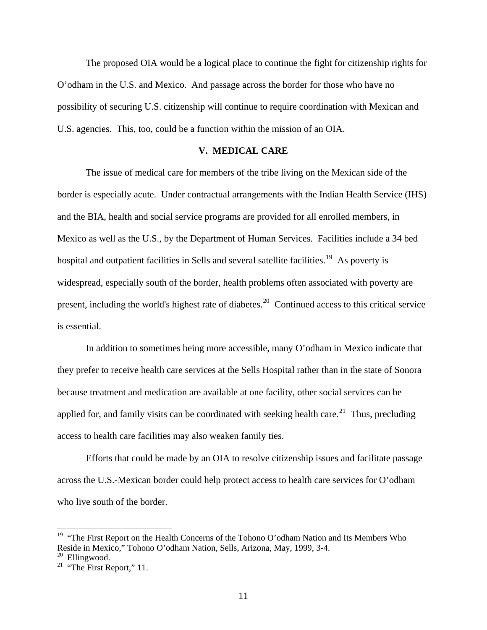The proposed OIA would be a logical place to continue the fight for citizenship rights for O'odham in the U.S. and Mexico. And passage across the border for those who have no possibility of securing U.S. citizenship will continue to require coordination with Mexican and U.S. agencies. This, too, could be a function within the mission of an OIA.

## **V. MEDICAL CARE**

The issue of medical care for members of the tribe living on the Mexican side of the border is especially acute. Under contractual arrangements with the Indian Health Service (IHS) and the BIA, health and social service programs are provided for all enrolled members, in Mexico as well as the U.S., by the Department of Human Services. Facilities include a 34 bed hospital and outpatient facilities in Sells and several satellite facilities.<sup>[19](#page-10-0)</sup> As poverty is widespread, especially south of the border, health problems often associated with poverty are present, including the world's highest rate of diabetes.<sup>[20](#page-10-1)</sup> Continued access to this critical service is essential.

In addition to sometimes being more accessible, many O'odham in Mexico indicate that they prefer to receive health care services at the Sells Hospital rather than in the state of Sonora because treatment and medication are available at one facility, other social services can be applied for, and family visits can be coordinated with seeking health care.<sup>[21](#page-10-2)</sup> Thus, precluding access to health care facilities may also weaken family ties.

Efforts that could be made by an OIA to resolve citizenship issues and facilitate passage across the U.S.-Mexican border could help protect access to health care services for O'odham who live south of the border.

<span id="page-10-0"></span><sup>&</sup>lt;sup>19</sup> "The First Report on the Health Concerns of the Tohono O'odham Nation and Its Members Who Reside in Mexico," Tohono O'odham Nation, Sells, Arizona, May, 1999, 3-4.

<span id="page-10-2"></span><span id="page-10-1"></span><sup>&</sup>lt;sup>21</sup> "The First Report," 11.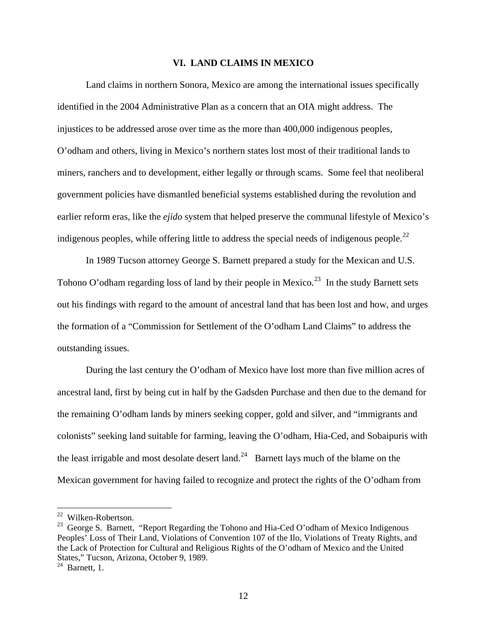### **VI. LAND CLAIMS IN MEXICO**

 Land claims in northern Sonora, Mexico are among the international issues specifically identified in the 2004 Administrative Plan as a concern that an OIA might address. The injustices to be addressed arose over time as the more than 400,000 indigenous peoples, O'odham and others, living in Mexico's northern states lost most of their traditional lands to miners, ranchers and to development, either legally or through scams. Some feel that neoliberal government policies have dismantled beneficial systems established during the revolution and earlier reform eras, like the *ejido* system that helped preserve the communal lifestyle of Mexico's indigenous peoples, while offering little to address the special needs of indigenous people.<sup>[22](#page-11-0)</sup>

 In 1989 Tucson attorney George S. Barnett prepared a study for the Mexican and U.S. Tohono O'odham regarding loss of land by their people in Mexico.<sup>[23](#page-11-1)</sup> In the study Barnett sets out his findings with regard to the amount of ancestral land that has been lost and how, and urges the formation of a "Commission for Settlement of the O'odham Land Claims" to address the outstanding issues.

 During the last century the O'odham of Mexico have lost more than five million acres of ancestral land, first by being cut in half by the Gadsden Purchase and then due to the demand for the remaining O'odham lands by miners seeking copper, gold and silver, and "immigrants and colonists" seeking land suitable for farming, leaving the O'odham, Hia-Ced, and Sobaipuris with the least irrigable and most desolate desert land.<sup>[24](#page-11-2)</sup> Barnett lays much of the blame on the Mexican government for having failed to recognize and protect the rights of the O'odham from

<span id="page-11-0"></span><sup>22</sup> Wilken-Robertson.

<span id="page-11-1"></span><sup>&</sup>lt;sup>23</sup> George S. Barnett, "Report Regarding the Tohono and Hia-Ced O'odham of Mexico Indigenous Peoples' Loss of Their Land, Violations of Convention 107 of the Ilo, Violations of Treaty Rights, and the Lack of Protection for Cultural and Religious Rights of the O'odham of Mexico and the United States," Tucson, Arizona, October 9, 1989.

<span id="page-11-2"></span> $24$  Barnett, 1.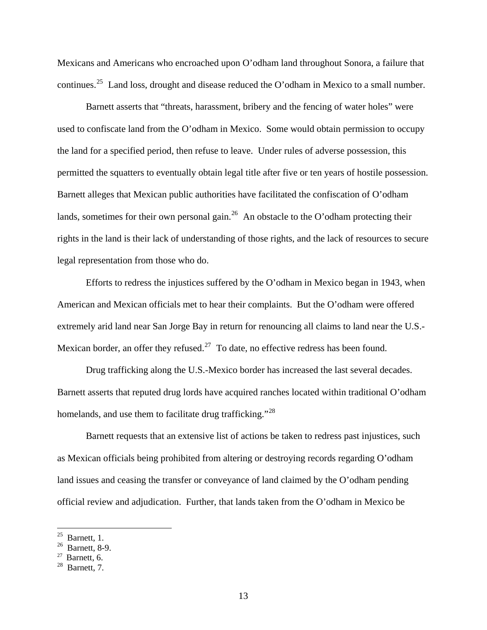Mexicans and Americans who encroached upon O'odham land throughout Sonora, a failure that continues.[25](#page-12-0) Land loss, drought and disease reduced the O'odham in Mexico to a small number.

 Barnett asserts that "threats, harassment, bribery and the fencing of water holes" were used to confiscate land from the O'odham in Mexico. Some would obtain permission to occupy the land for a specified period, then refuse to leave. Under rules of adverse possession, this permitted the squatters to eventually obtain legal title after five or ten years of hostile possession. Barnett alleges that Mexican public authorities have facilitated the confiscation of O'odham lands, sometimes for their own personal gain.<sup>[26](#page-12-1)</sup> An obstacle to the O'odham protecting their rights in the land is their lack of understanding of those rights, and the lack of resources to secure legal representation from those who do.

Efforts to redress the injustices suffered by the O'odham in Mexico began in 1943, when American and Mexican officials met to hear their complaints. But the O'odham were offered extremely arid land near San Jorge Bay in return for renouncing all claims to land near the U.S.- Mexican border, an offer they refused.<sup>27</sup> To date, no effective redress has been found.

 Drug trafficking along the U.S.-Mexico border has increased the last several decades. Barnett asserts that reputed drug lords have acquired ranches located within traditional O'odham homelands, and use them to facilitate drug trafficking."<sup>[28](#page-12-3)</sup>

 Barnett requests that an extensive list of actions be taken to redress past injustices, such as Mexican officials being prohibited from altering or destroying records regarding O'odham land issues and ceasing the transfer or conveyance of land claimed by the O'odham pending official review and adjudication. Further, that lands taken from the O'odham in Mexico be

 $25$  Barnett, 1.

<span id="page-12-1"></span><span id="page-12-0"></span><sup>26</sup> Barnett, 8-9.

<span id="page-12-2"></span> $27$  Barnett, 6.

<span id="page-12-3"></span><sup>28</sup> Barnett, 7.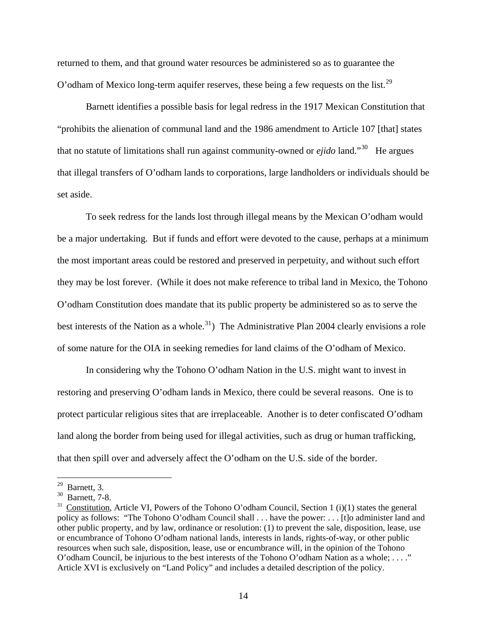returned to them, and that ground water resources be administered so as to guarantee the O'odham of Mexico long-term aquifer reserves, these being a few requests on the list.<sup>[29](#page-13-0)</sup>

 Barnett identifies a possible basis for legal redress in the 1917 Mexican Constitution that "prohibits the alienation of communal land and the 1986 amendment to Article 107 [that] states that no statute of limitations shall run against community-owned or *ejido* land."[30](#page-13-1) He argues that illegal transfers of O'odham lands to corporations, large landholders or individuals should be set aside.

 To seek redress for the lands lost through illegal means by the Mexican O'odham would be a major undertaking. But if funds and effort were devoted to the cause, perhaps at a minimum the most important areas could be restored and preserved in perpetuity, and without such effort they may be lost forever. (While it does not make reference to tribal land in Mexico, the Tohono O'odham Constitution does mandate that its public property be administered so as to serve the best interests of the Nation as a whole.<sup>[31](#page-13-2)</sup>) The Administrative Plan 2004 clearly envisions a role of some nature for the OIA in seeking remedies for land claims of the O'odham of Mexico.

In considering why the Tohono O'odham Nation in the U.S. might want to invest in restoring and preserving O'odham lands in Mexico, there could be several reasons. One is to protect particular religious sites that are irreplaceable. Another is to deter confiscated O'odham land along the border from being used for illegal activities, such as drug or human trafficking, that then spill over and adversely affect the O'odham on the U.S. side of the border.

 $29$  Barnett, 3.

<span id="page-13-1"></span><span id="page-13-0"></span><sup>30</sup> Barnett, 7-8.

<span id="page-13-2"></span> $31$  Constitution, Article VI, Powers of the Tohono O'odham Council, Section 1 (i)(1) states the general policy as follows: "The Tohono O'odham Council shall . . . have the power: . . . [t]o administer land and other public property, and by law, ordinance or resolution: (1) to prevent the sale, disposition, lease, use or encumbrance of Tohono O'odham national lands, interests in lands, rights-of-way, or other public resources when such sale, disposition, lease, use or encumbrance will, in the opinion of the Tohono O'odham Council, be injurious to the best interests of the Tohono O'odham Nation as a whole; . . . ." Article XVI is exclusively on "Land Policy" and includes a detailed description of the policy.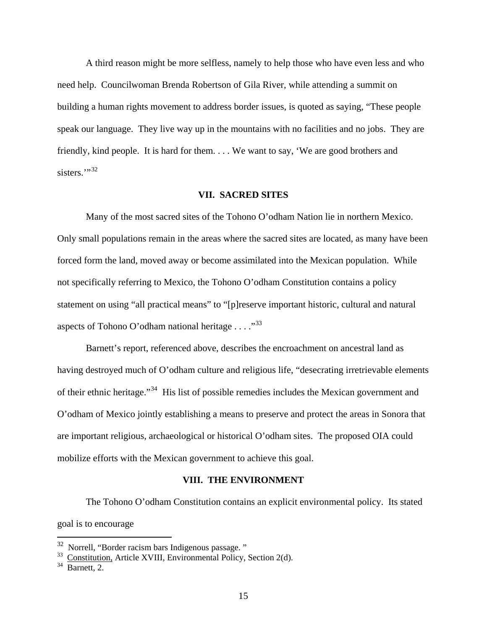A third reason might be more selfless, namely to help those who have even less and who need help. Councilwoman Brenda Robertson of Gila River, while attending a summit on building a human rights movement to address border issues, is quoted as saying, "These people speak our language. They live way up in the mountains with no facilities and no jobs. They are friendly, kind people. It is hard for them. . . . We want to say, 'We are good brothers and sisters."<sup>[32](#page-14-0)</sup>

#### **VII. SACRED SITES**

Many of the most sacred sites of the Tohono O'odham Nation lie in northern Mexico. Only small populations remain in the areas where the sacred sites are located, as many have been forced form the land, moved away or become assimilated into the Mexican population. While not specifically referring to Mexico, the Tohono O'odham Constitution contains a policy statement on using "all practical means" to "[p]reserve important historic, cultural and natural aspects of Tohono O'odham national heritage  $\dots$  ..."<sup>[33](#page-14-1)</sup>

 Barnett's report, referenced above, describes the encroachment on ancestral land as having destroyed much of O'odham culture and religious life, "desecrating irretrievable elements of their ethnic heritage."[34](#page-14-2) His list of possible remedies includes the Mexican government and O'odham of Mexico jointly establishing a means to preserve and protect the areas in Sonora that are important religious, archaeological or historical O'odham sites. The proposed OIA could mobilize efforts with the Mexican government to achieve this goal.

#### **VIII. THE ENVIRONMENT**

The Tohono O'odham Constitution contains an explicit environmental policy. Its stated goal is to encourage

<span id="page-14-0"></span> $32$  Norrell, "Border racism bars Indigenous passage."

 $33$  Constitution, Article XVIII, Environmental Policy, Section 2(d).

<span id="page-14-2"></span><span id="page-14-1"></span> $34$  Barnett, 2.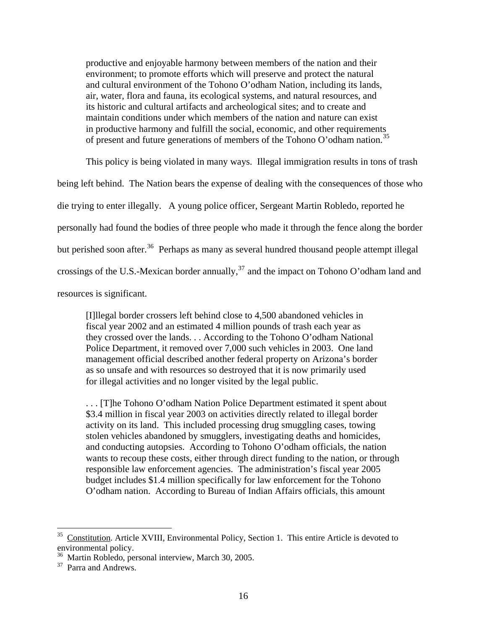productive and enjoyable harmony between members of the nation and their environment; to promote efforts which will preserve and protect the natural and cultural environment of the Tohono O'odham Nation, including its lands, air, water, flora and fauna, its ecological systems, and natural resources, and its historic and cultural artifacts and archeological sites; and to create and maintain conditions under which members of the nation and nature can exist in productive harmony and fulfill the social, economic, and other requirements of present and future generations of members of the Tohono O'odham nation.<sup>[35](#page-15-0)</sup>

 This policy is being violated in many ways. Illegal immigration results in tons of trash being left behind. The Nation bears the expense of dealing with the consequences of those who die trying to enter illegally. A young police officer, Sergeant Martin Robledo, reported he personally had found the bodies of three people who made it through the fence along the border but perished soon after.<sup>[36](#page-15-1)</sup> Perhaps as many as several hundred thousand people attempt illegal crossings of the U.S.-Mexican border annually,  $37$  and the impact on Tohono O'odham land and resources is significant.

[I]llegal border crossers left behind close to 4,500 abandoned vehicles in fiscal year 2002 and an estimated 4 million pounds of trash each year as they crossed over the lands. . . According to the Tohono O'odham National Police Department, it removed over 7,000 such vehicles in 2003. One land management official described another federal property on Arizona's border as so unsafe and with resources so destroyed that it is now primarily used for illegal activities and no longer visited by the legal public.

. . . [T]he Tohono O'odham Nation Police Department estimated it spent about \$3.4 million in fiscal year 2003 on activities directly related to illegal border activity on its land. This included processing drug smuggling cases, towing stolen vehicles abandoned by smugglers, investigating deaths and homicides, and conducting autopsies. According to Tohono O'odham officials, the nation wants to recoup these costs, either through direct funding to the nation, or through responsible law enforcement agencies. The administration's fiscal year 2005 budget includes \$1.4 million specifically for law enforcement for the Tohono O'odham nation. According to Bureau of Indian Affairs officials, this amount

<span id="page-15-0"></span><sup>35</sup> Constitution. Article XVIII, Environmental Policy, Section 1. This entire Article is devoted to environmental policy.

<span id="page-15-1"></span><sup>36</sup> Martin Robledo, personal interview, March 30, 2005.

<span id="page-15-2"></span><sup>&</sup>lt;sup>37</sup> Parra and Andrews.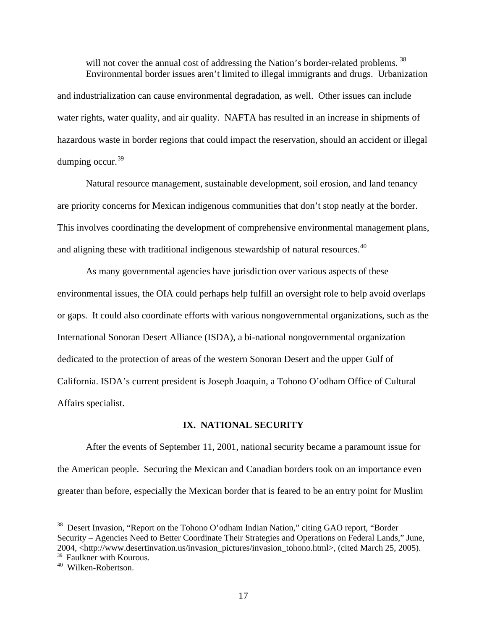will not cover the annual cost of addressing the Nation's border-related problems.<sup>[38](#page-16-0)</sup> Environmental border issues aren't limited to illegal immigrants and drugs. Urbanization and industrialization can cause environmental degradation, as well. Other issues can include water rights, water quality, and air quality. NAFTA has resulted in an increase in shipments of hazardous waste in border regions that could impact the reservation, should an accident or illegal dumping occur.  $39$ 

Natural resource management, sustainable development, soil erosion, and land tenancy are priority concerns for Mexican indigenous communities that don't stop neatly at the border. This involves coordinating the development of comprehensive environmental management plans, and aligning these with traditional indigenous stewardship of natural resources.<sup>[40](#page-16-2)</sup>

As many governmental agencies have jurisdiction over various aspects of these environmental issues, the OIA could perhaps help fulfill an oversight role to help avoid overlaps or gaps. It could also coordinate efforts with various nongovernmental organizations, such as the International Sonoran Desert Alliance (ISDA), a bi-national nongovernmental organization dedicated to the protection of areas of the western Sonoran Desert and the upper Gulf of California. ISDA's current president is Joseph Joaquin, a Tohono O'odham Office of Cultural Affairs specialist.

## **IX. NATIONAL SECURITY**

After the events of September 11, 2001, national security became a paramount issue for the American people. Securing the Mexican and Canadian borders took on an importance even greater than before, especially the Mexican border that is feared to be an entry point for Muslim

<span id="page-16-0"></span><sup>&</sup>lt;sup>38</sup> Desert Invasion, "Report on the Tohono O'odham Indian Nation," citing GAO report, "Border Security – Agencies Need to Better Coordinate Their Strategies and Operations on Federal Lands," June, 2004, <http://www.desertinvation.us/invasion\_pictures/invasion\_tohono.html>, (cited March 25, 2005).

<span id="page-16-1"></span><sup>&</sup>lt;sup>39</sup> Faulkner with Kourous.

<span id="page-16-2"></span><sup>40</sup> Wilken-Robertson.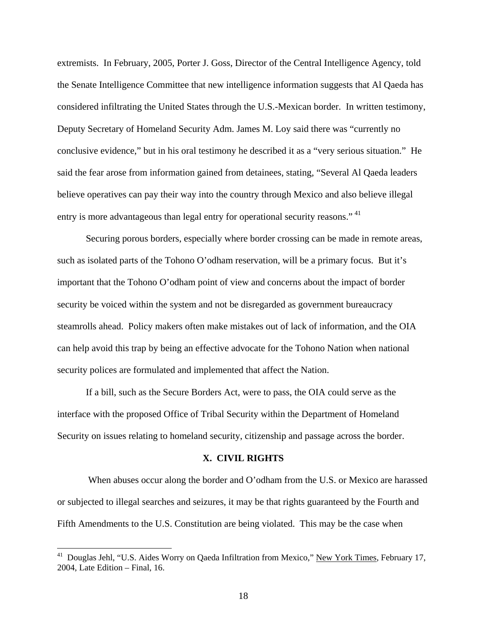extremists. In February, 2005, Porter J. Goss, Director of the Central Intelligence Agency, told the Senate Intelligence Committee that new intelligence information suggests that Al Qaeda has considered infiltrating the United States through the U.S.-Mexican border. In written testimony, Deputy Secretary of Homeland Security Adm. James M. Loy said there was "currently no conclusive evidence," but in his oral testimony he described it as a "very serious situation." He said the fear arose from information gained from detainees, stating, "Several Al Qaeda leaders believe operatives can pay their way into the country through Mexico and also believe illegal entry is more advantageous than legal entry for operational security reasons."<sup>[41](#page-17-0)</sup>

Securing porous borders, especially where border crossing can be made in remote areas, such as isolated parts of the Tohono O'odham reservation, will be a primary focus. But it's important that the Tohono O'odham point of view and concerns about the impact of border security be voiced within the system and not be disregarded as government bureaucracy steamrolls ahead. Policy makers often make mistakes out of lack of information, and the OIA can help avoid this trap by being an effective advocate for the Tohono Nation when national security polices are formulated and implemented that affect the Nation.

If a bill, such as the Secure Borders Act, were to pass, the OIA could serve as the interface with the proposed Office of Tribal Security within the Department of Homeland Security on issues relating to homeland security, citizenship and passage across the border.

#### **X. CIVIL RIGHTS**

 When abuses occur along the border and O'odham from the U.S. or Mexico are harassed or subjected to illegal searches and seizures, it may be that rights guaranteed by the Fourth and Fifth Amendments to the U.S. Constitution are being violated. This may be the case when

<span id="page-17-0"></span><sup>&</sup>lt;sup>41</sup> Douglas Jehl, "U.S. Aides Worry on Qaeda Infiltration from Mexico," New York Times, February 17, 2004, Late Edition – Final, 16.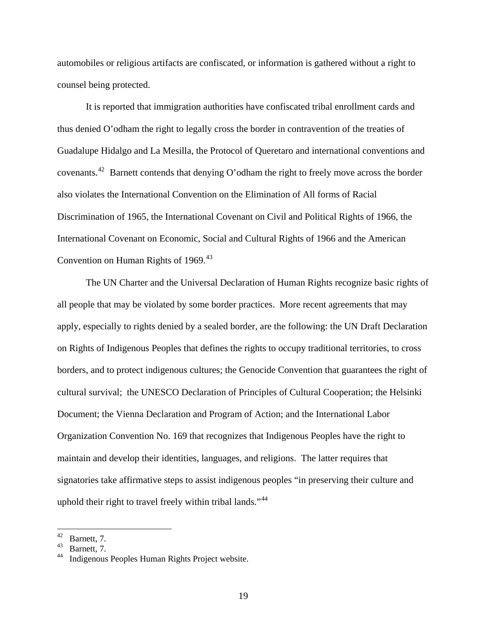automobiles or religious artifacts are confiscated, or information is gathered without a right to counsel being protected.

It is reported that immigration authorities have confiscated tribal enrollment cards and thus denied O'odham the right to legally cross the border in contravention of the treaties of Guadalupe Hidalgo and La Mesilla, the Protocol of Queretaro and international conventions and covenants.[42](#page-18-0) Barnett contends that denying O'odham the right to freely move across the border also violates the International Convention on the Elimination of All forms of Racial Discrimination of 1965, the International Covenant on Civil and Political Rights of 1966, the International Covenant on Economic, Social and Cultural Rights of 1966 and the American Convention on Human Rights of  $1969.<sup>43</sup>$  $1969.<sup>43</sup>$  $1969.<sup>43</sup>$ 

The UN Charter and the Universal Declaration of Human Rights recognize basic rights of all people that may be violated by some border practices. More recent agreements that may apply, especially to rights denied by a sealed border, are the following: the UN Draft Declaration on Rights of Indigenous Peoples that defines the rights to occupy traditional territories, to cross borders, and to protect indigenous cultures; the Genocide Convention that guarantees the right of cultural survival; the UNESCO Declaration of Principles of Cultural Cooperation; the Helsinki Document; the Vienna Declaration and Program of Action; and the International Labor Organization Convention No. 169 that recognizes that Indigenous Peoples have the right to maintain and develop their identities, languages, and religions. The latter requires that signatories take affirmative steps to assist indigenous peoples "in preserving their culture and uphold their right to travel freely within tribal lands."<sup>[44](#page-18-2)</sup>

<span id="page-18-0"></span> $42$  Barnett, 7.

<span id="page-18-2"></span><span id="page-18-1"></span><sup>43</sup> Barnett, 7.

Indigenous Peoples Human Rights Project website.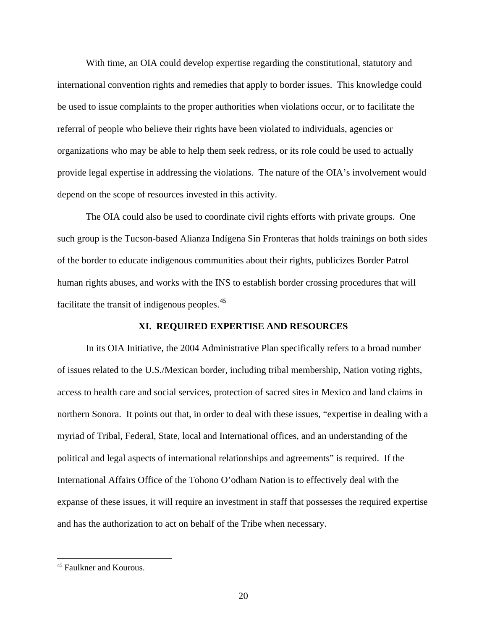With time, an OIA could develop expertise regarding the constitutional, statutory and international convention rights and remedies that apply to border issues. This knowledge could be used to issue complaints to the proper authorities when violations occur, or to facilitate the referral of people who believe their rights have been violated to individuals, agencies or organizations who may be able to help them seek redress, or its role could be used to actually provide legal expertise in addressing the violations. The nature of the OIA's involvement would depend on the scope of resources invested in this activity.

The OIA could also be used to coordinate civil rights efforts with private groups. One such group is the Tucson-based Alianza Indígena Sin Fronteras that holds trainings on both sides of the border to educate indigenous communities about their rights, publicizes Border Patrol human rights abuses, and works with the INS to establish border crossing procedures that will facilitate the transit of indigenous peoples.<sup>[45](#page-19-0)</sup>

## **XI. REQUIRED EXPERTISE AND RESOURCES**

In its OIA Initiative, the 2004 Administrative Plan specifically refers to a broad number of issues related to the U.S./Mexican border, including tribal membership, Nation voting rights, access to health care and social services, protection of sacred sites in Mexico and land claims in northern Sonora. It points out that, in order to deal with these issues, "expertise in dealing with a myriad of Tribal, Federal, State, local and International offices, and an understanding of the political and legal aspects of international relationships and agreements" is required. If the International Affairs Office of the Tohono O'odham Nation is to effectively deal with the expanse of these issues, it will require an investment in staff that possesses the required expertise and has the authorization to act on behalf of the Tribe when necessary.

<span id="page-19-0"></span><sup>45</sup> Faulkner and Kourous.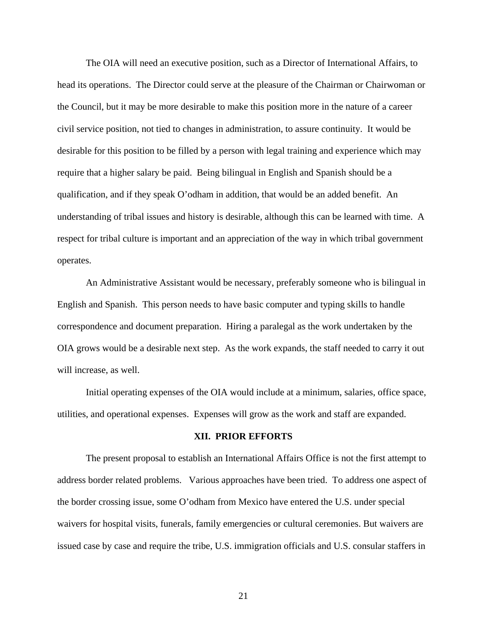The OIA will need an executive position, such as a Director of International Affairs, to head its operations. The Director could serve at the pleasure of the Chairman or Chairwoman or the Council, but it may be more desirable to make this position more in the nature of a career civil service position, not tied to changes in administration, to assure continuity. It would be desirable for this position to be filled by a person with legal training and experience which may require that a higher salary be paid. Being bilingual in English and Spanish should be a qualification, and if they speak O'odham in addition, that would be an added benefit. An understanding of tribal issues and history is desirable, although this can be learned with time. A respect for tribal culture is important and an appreciation of the way in which tribal government operates.

An Administrative Assistant would be necessary, preferably someone who is bilingual in English and Spanish. This person needs to have basic computer and typing skills to handle correspondence and document preparation. Hiring a paralegal as the work undertaken by the OIA grows would be a desirable next step. As the work expands, the staff needed to carry it out will increase, as well.

 Initial operating expenses of the OIA would include at a minimum, salaries, office space, utilities, and operational expenses. Expenses will grow as the work and staff are expanded.

## **XII. PRIOR EFFORTS**

The present proposal to establish an International Affairs Office is not the first attempt to address border related problems. Various approaches have been tried. To address one aspect of the border crossing issue, some O'odham from Mexico have entered the U.S. under special waivers for hospital visits, funerals, family emergencies or cultural ceremonies. But waivers are issued case by case and require the tribe, U.S. immigration officials and U.S. consular staffers in

21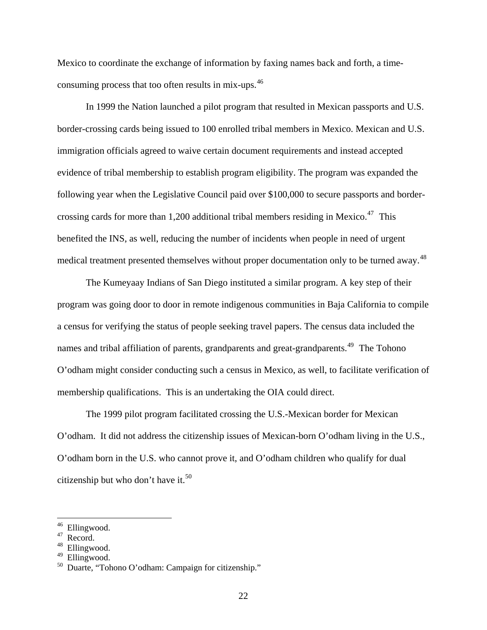Mexico to coordinate the exchange of information by faxing names back and forth, a timeconsuming process that too often results in mix-ups.[46](#page-21-0)

In 1999 the Nation launched a pilot program that resulted in Mexican passports and U.S. border-crossing cards being issued to 100 enrolled tribal members in Mexico. Mexican and U.S. immigration officials agreed to waive certain document requirements and instead accepted evidence of tribal membership to establish program eligibility. The program was expanded the following year when the Legislative Council paid over \$100,000 to secure passports and bordercrossing cards for more than 1,200 additional tribal members residing in Mexico. $47$  This benefited the INS, as well, reducing the number of incidents when people in need of urgent medical treatment presented themselves without proper documentation only to be turned away.<sup>[48](#page-21-2)</sup>

The Kumeyaay Indians of San Diego instituted a similar program. A key step of their program was going door to door in remote indigenous communities in Baja California to compile a census for verifying the status of people seeking travel papers. The census data included the names and tribal affiliation of parents, grandparents and great-grandparents.<sup>[49](#page-21-3)</sup> The Tohono O'odham might consider conducting such a census in Mexico, as well, to facilitate verification of membership qualifications. This is an undertaking the OIA could direct.

 The 1999 pilot program facilitated crossing the U.S.-Mexican border for Mexican O'odham. It did not address the citizenship issues of Mexican-born O'odham living in the U.S., O'odham born in the U.S. who cannot prove it, and O'odham children who qualify for dual citizenship but who don't have it.<sup>[50](#page-21-4)</sup>

<sup>&</sup>lt;sup>46</sup> Ellingwood.

<span id="page-21-2"></span><span id="page-21-1"></span><span id="page-21-0"></span> $^{47}$  Record.<br><sup>48</sup> Ellinow

Ellingwood.

<span id="page-21-3"></span> $49$  Ellingwood.

<span id="page-21-4"></span>Duarte, "Tohono O'odham: Campaign for citizenship."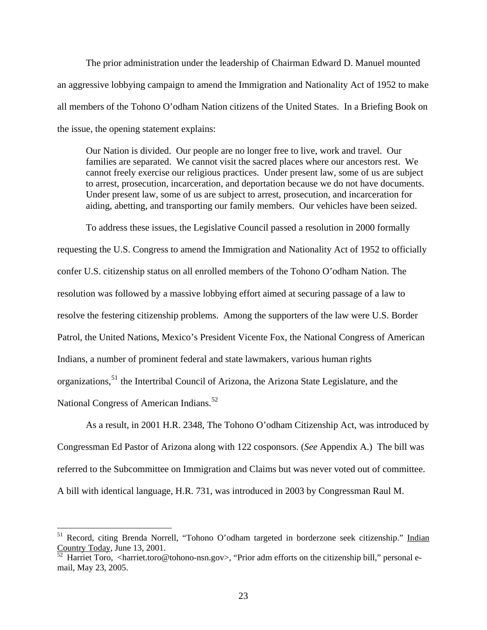The prior administration under the leadership of Chairman Edward D. Manuel mounted an aggressive lobbying campaign to amend the Immigration and Nationality Act of 1952 to make all members of the Tohono O'odham Nation citizens of the United States. In a Briefing Book on the issue, the opening statement explains:

Our Nation is divided. Our people are no longer free to live, work and travel. Our families are separated. We cannot visit the sacred places where our ancestors rest. We cannot freely exercise our religious practices. Under present law, some of us are subject to arrest, prosecution, incarceration, and deportation because we do not have documents. Under present law, some of us are subject to arrest, prosecution, and incarceration for aiding, abetting, and transporting our family members. Our vehicles have been seized.

 To address these issues, the Legislative Council passed a resolution in 2000 formally requesting the U.S. Congress to amend the Immigration and Nationality Act of 1952 to officially confer U.S. citizenship status on all enrolled members of the Tohono O'odham Nation. The resolution was followed by a massive lobbying effort aimed at securing passage of a law to resolve the festering citizenship problems. Among the supporters of the law were U.S. Border Patrol, the United Nations, Mexico's President Vicente Fox, the National Congress of American Indians, a number of prominent federal and state lawmakers, various human rights organizations,<sup>[51](#page-22-0)</sup> the Intertribal Council of Arizona, the Arizona State Legislature, and the National Congress of American Indians.<sup>[52](#page-22-1)</sup>

As a result, in 2001 H.R. 2348, The Tohono O'odham Citizenship Act, was introduced by Congressman Ed Pastor of Arizona along with 122 cosponsors. (*See* Appendix A.) The bill was referred to the Subcommittee on Immigration and Claims but was never voted out of committee. A bill with identical language, H.R. 731, was introduced in 2003 by Congressman Raul M.

<span id="page-22-0"></span><sup>&</sup>lt;sup>51</sup> Record, citing Brenda Norrell, "Tohono O'odham targeted in borderzone seek citizenship." Indian Country Today, June 13, 2001.

<span id="page-22-1"></span> $\frac{52}{52}$  Harriet Toro, <harriet.toro@tohono-nsn.gov>, "Prior adm efforts on the citizenship bill," personal email, May 23, 2005.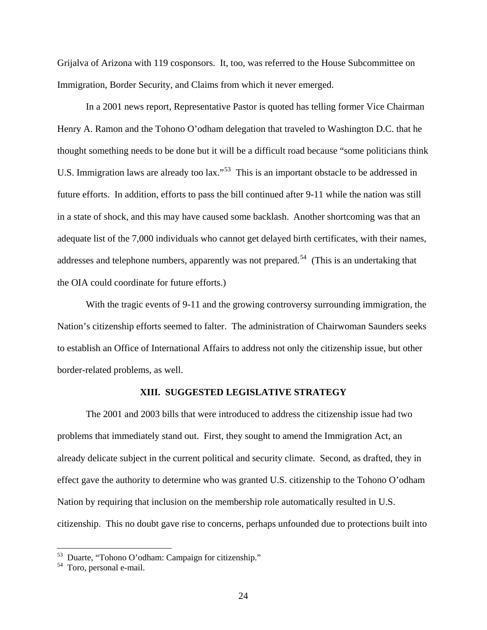Grijalva of Arizona with 119 cosponsors. It, too, was referred to the House Subcommittee on Immigration, Border Security, and Claims from which it never emerged.

 In a 2001 news report, Representative Pastor is quoted has telling former Vice Chairman Henry A. Ramon and the Tohono O'odham delegation that traveled to Washington D.C. that he thought something needs to be done but it will be a difficult road because "some politicians think U.S. Immigration laws are already too lax."<sup>[53](#page-23-0)</sup> This is an important obstacle to be addressed in future efforts. In addition, efforts to pass the bill continued after 9-11 while the nation was still in a state of shock, and this may have caused some backlash. Another shortcoming was that an adequate list of the 7,000 individuals who cannot get delayed birth certificates, with their names, addresses and telephone numbers, apparently was not prepared.<sup>[54](#page-23-1)</sup> (This is an undertaking that the OIA could coordinate for future efforts.)

With the tragic events of 9-11 and the growing controversy surrounding immigration, the Nation's citizenship efforts seemed to falter. The administration of Chairwoman Saunders seeks to establish an Office of International Affairs to address not only the citizenship issue, but other border-related problems, as well.

## **XIII. SUGGESTED LEGISLATIVE STRATEGY**

The 2001 and 2003 bills that were introduced to address the citizenship issue had two problems that immediately stand out. First, they sought to amend the Immigration Act, an already delicate subject in the current political and security climate. Second, as drafted, they in effect gave the authority to determine who was granted U.S. citizenship to the Tohono O'odham Nation by requiring that inclusion on the membership role automatically resulted in U.S. citizenship. This no doubt gave rise to concerns, perhaps unfounded due to protections built into

<sup>53</sup> Duarte, "Tohono O'odham: Campaign for citizenship."

<span id="page-23-1"></span><span id="page-23-0"></span><sup>54</sup> Toro, personal e-mail.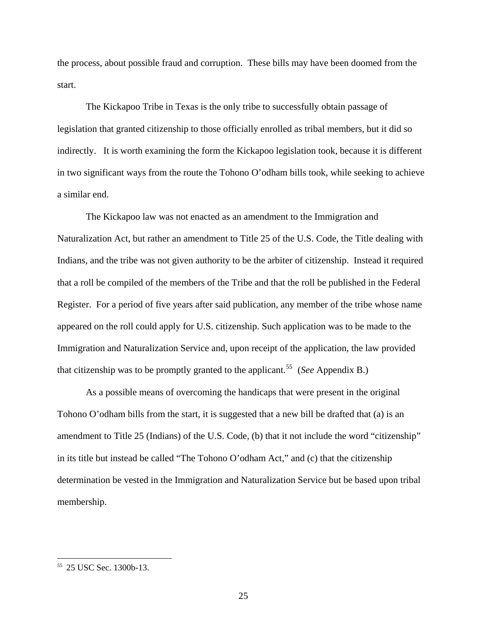the process, about possible fraud and corruption. These bills may have been doomed from the start.

 The Kickapoo Tribe in Texas is the only tribe to successfully obtain passage of legislation that granted citizenship to those officially enrolled as tribal members, but it did so indirectly. It is worth examining the form the Kickapoo legislation took, because it is different in two significant ways from the route the Tohono O'odham bills took, while seeking to achieve a similar end.

 The Kickapoo law was not enacted as an amendment to the Immigration and Naturalization Act, but rather an amendment to Title 25 of the U.S. Code, the Title dealing with Indians, and the tribe was not given authority to be the arbiter of citizenship. Instead it required that a roll be compiled of the members of the Tribe and that the roll be published in the Federal Register. For a period of five years after said publication, any member of the tribe whose name appeared on the roll could apply for U.S. citizenship. Such application was to be made to the Immigration and Naturalization Service and, upon receipt of the application, the law provided that citizenship was to be promptly granted to the applicant.<sup>[55](#page-24-0)</sup> (*See* Appendix B.)

As a possible means of overcoming the handicaps that were present in the original Tohono O'odham bills from the start, it is suggested that a new bill be drafted that (a) is an amendment to Title 25 (Indians) of the U.S. Code, (b) that it not include the word "citizenship" in its title but instead be called "The Tohono O'odham Act," and (c) that the citizenship determination be vested in the Immigration and Naturalization Service but be based upon tribal membership.

<span id="page-24-0"></span><sup>55 25</sup> USC Sec. 1300b-13.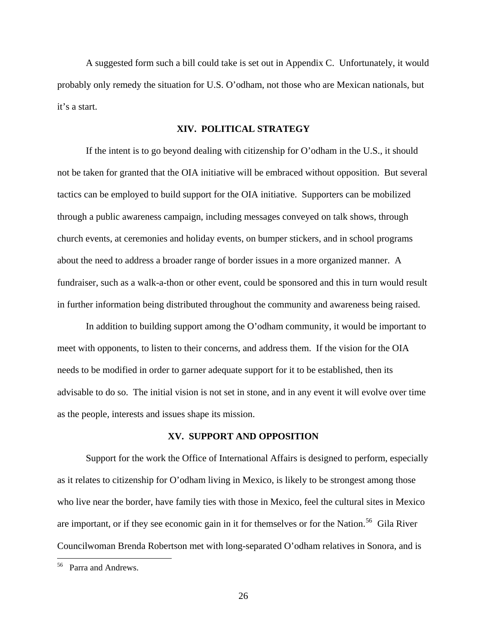A suggested form such a bill could take is set out in Appendix C. Unfortunately, it would probably only remedy the situation for U.S. O'odham, not those who are Mexican nationals, but it's a start.

## **XIV. POLITICAL STRATEGY**

 If the intent is to go beyond dealing with citizenship for O'odham in the U.S., it should not be taken for granted that the OIA initiative will be embraced without opposition. But several tactics can be employed to build support for the OIA initiative. Supporters can be mobilized through a public awareness campaign, including messages conveyed on talk shows, through church events, at ceremonies and holiday events, on bumper stickers, and in school programs about the need to address a broader range of border issues in a more organized manner. A fundraiser, such as a walk-a-thon or other event, could be sponsored and this in turn would result in further information being distributed throughout the community and awareness being raised.

 In addition to building support among the O'odham community, it would be important to meet with opponents, to listen to their concerns, and address them. If the vision for the OIA needs to be modified in order to garner adequate support for it to be established, then its advisable to do so. The initial vision is not set in stone, and in any event it will evolve over time as the people, interests and issues shape its mission.

## **XV. SUPPORT AND OPPOSITION**

Support for the work the Office of International Affairs is designed to perform, especially as it relates to citizenship for O'odham living in Mexico, is likely to be strongest among those who live near the border, have family ties with those in Mexico, feel the cultural sites in Mexico are important, or if they see economic gain in it for themselves or for the Nation.<sup>[56](#page-25-0)</sup> Gila River Councilwoman Brenda Robertson met with long-separated O'odham relatives in Sonora, and is

<span id="page-25-0"></span><sup>56</sup> Parra and Andrews.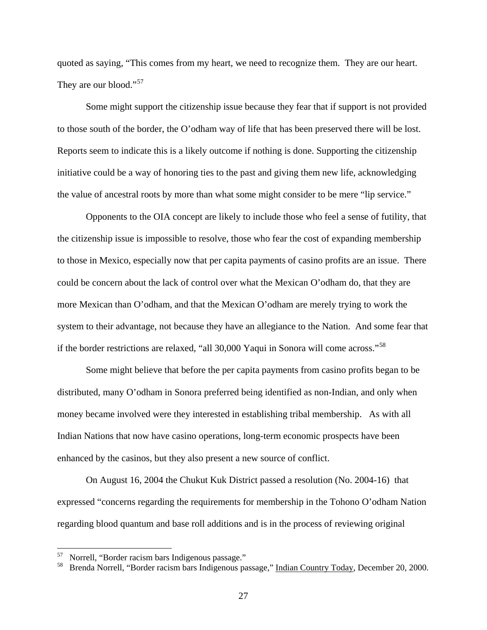quoted as saying, "This comes from my heart, we need to recognize them. They are our heart. They are our blood."<sup>[57](#page-26-0)</sup>

 Some might support the citizenship issue because they fear that if support is not provided to those south of the border, the O'odham way of life that has been preserved there will be lost. Reports seem to indicate this is a likely outcome if nothing is done. Supporting the citizenship initiative could be a way of honoring ties to the past and giving them new life, acknowledging the value of ancestral roots by more than what some might consider to be mere "lip service."

Opponents to the OIA concept are likely to include those who feel a sense of futility, that the citizenship issue is impossible to resolve, those who fear the cost of expanding membership to those in Mexico, especially now that per capita payments of casino profits are an issue. There could be concern about the lack of control over what the Mexican O'odham do, that they are more Mexican than O'odham, and that the Mexican O'odham are merely trying to work the system to their advantage, not because they have an allegiance to the Nation. And some fear that if the border restrictions are relaxed, "all 30,000 Yaqui in Sonora will come across."[58](#page-26-1)

Some might believe that before the per capita payments from casino profits began to be distributed, many O'odham in Sonora preferred being identified as non-Indian, and only when money became involved were they interested in establishing tribal membership. As with all Indian Nations that now have casino operations, long-term economic prospects have been enhanced by the casinos, but they also present a new source of conflict.

On August 16, 2004 the Chukut Kuk District passed a resolution (No. 2004-16) that expressed "concerns regarding the requirements for membership in the Tohono O'odham Nation regarding blood quantum and base roll additions and is in the process of reviewing original

<span id="page-26-0"></span><sup>57</sup> Norrell, "Border racism bars Indigenous passage."

<span id="page-26-1"></span>Brenda Norrell, "Border racism bars Indigenous passage," Indian Country Today, December 20, 2000.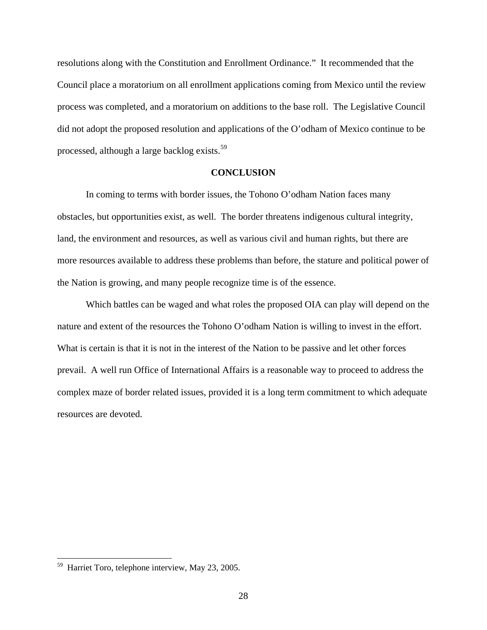resolutions along with the Constitution and Enrollment Ordinance." It recommended that the Council place a moratorium on all enrollment applications coming from Mexico until the review process was completed, and a moratorium on additions to the base roll. The Legislative Council did not adopt the proposed resolution and applications of the O'odham of Mexico continue to be processed, although a large backlog exists.<sup>[59](#page-27-0)</sup>

#### **CONCLUSION**

In coming to terms with border issues, the Tohono O'odham Nation faces many obstacles, but opportunities exist, as well. The border threatens indigenous cultural integrity, land, the environment and resources, as well as various civil and human rights, but there are more resources available to address these problems than before, the stature and political power of the Nation is growing, and many people recognize time is of the essence.

Which battles can be waged and what roles the proposed OIA can play will depend on the nature and extent of the resources the Tohono O'odham Nation is willing to invest in the effort. What is certain is that it is not in the interest of the Nation to be passive and let other forces prevail. A well run Office of International Affairs is a reasonable way to proceed to address the complex maze of border related issues, provided it is a long term commitment to which adequate resources are devoted.

<span id="page-27-0"></span><sup>59</sup> Harriet Toro, telephone interview, May 23, 2005.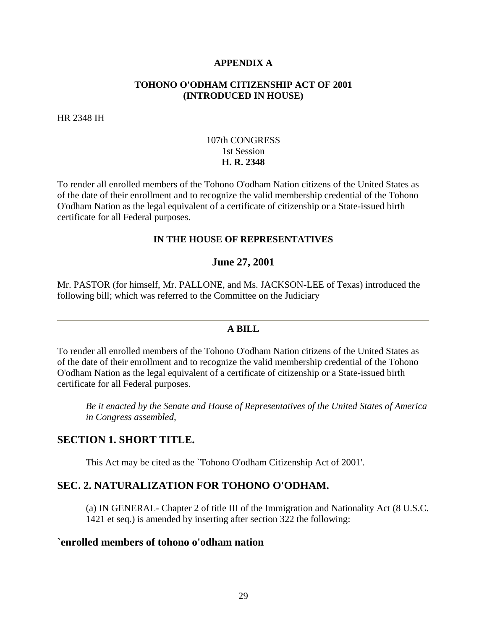## **APPENDIX A**

## **TOHONO O'ODHAM CITIZENSHIP ACT OF 2001 (INTRODUCED IN HOUSE)**

HR 2348 IH

## 107th CONGRESS 1st Session **H. R. 2348**

To render all enrolled members of the Tohono O'odham Nation citizens of the United States as of the date of their enrollment and to recognize the valid membership credential of the Tohono O'odham Nation as the legal equivalent of a certificate of citizenship or a State-issued birth certificate for all Federal purposes.

## **IN THE HOUSE OF REPRESENTATIVES**

## **June 27, 2001**

Mr. PASTOR (for himself, Mr. PALLONE, and Ms. JACKSON-LEE of Texas) introduced the following bill; which was referred to the Committee on the Judiciary

## **A BILL**

To render all enrolled members of the Tohono O'odham Nation citizens of the United States as of the date of their enrollment and to recognize the valid membership credential of the Tohono O'odham Nation as the legal equivalent of a certificate of citizenship or a State-issued birth certificate for all Federal purposes.

*Be it enacted by the Senate and House of Representatives of the United States of America in Congress assembled,*

## **SECTION 1. SHORT TITLE.**

This Act may be cited as the `Tohono O'odham Citizenship Act of 2001'.

## **SEC. 2. NATURALIZATION FOR TOHONO O'ODHAM.**

(a) IN GENERAL- Chapter 2 of title III of the Immigration and Nationality Act (8 U.S.C. 1421 et seq.) is amended by inserting after section 322 the following:

## **`enrolled members of tohono o'odham nation**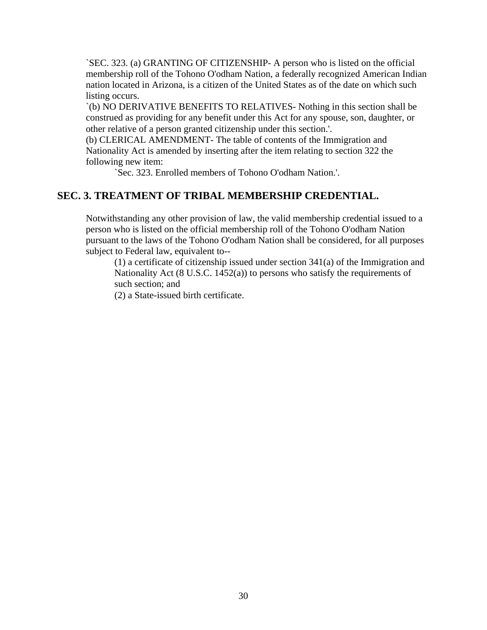`SEC. 323. (a) GRANTING OF CITIZENSHIP- A person who is listed on the official membership roll of the Tohono O'odham Nation, a federally recognized American Indian nation located in Arizona, is a citizen of the United States as of the date on which such listing occurs.

`(b) NO DERIVATIVE BENEFITS TO RELATIVES- Nothing in this section shall be construed as providing for any benefit under this Act for any spouse, son, daughter, or other relative of a person granted citizenship under this section.'.

(b) CLERICAL AMENDMENT- The table of contents of the Immigration and Nationality Act is amended by inserting after the item relating to section 322 the following new item:

`Sec. 323. Enrolled members of Tohono O'odham Nation.'.

## **SEC. 3. TREATMENT OF TRIBAL MEMBERSHIP CREDENTIAL.**

Notwithstanding any other provision of law, the valid membership credential issued to a person who is listed on the official membership roll of the Tohono O'odham Nation pursuant to the laws of the Tohono O'odham Nation shall be considered, for all purposes subject to Federal law, equivalent to--

(1) a certificate of citizenship issued under section 341(a) of the Immigration and Nationality Act (8 U.S.C. 1452(a)) to persons who satisfy the requirements of such section; and

(2) a State-issued birth certificate.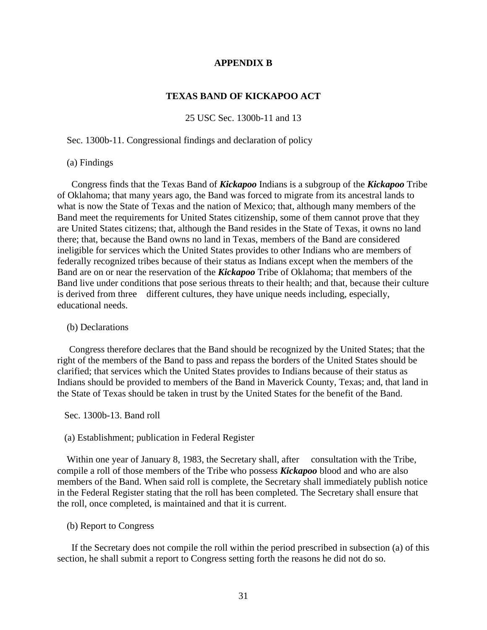## **APPENDIX B**

## **TEXAS BAND OF KICKAPOO ACT**

25 USC Sec. 1300b-11 and 13

Sec. 1300b-11. Congressional findings and declaration of policy

## (a) Findings

 Congress finds that the Texas Band of *Kickapoo* Indians is a subgroup of the *Kickapoo* Tribe of Oklahoma; that many years ago, the Band was forced to migrate from its ancestral lands to what is now the State of Texas and the nation of Mexico; that, although many members of the Band meet the requirements for United States citizenship, some of them cannot prove that they are United States citizens; that, although the Band resides in the State of Texas, it owns no land there; that, because the Band owns no land in Texas, members of the Band are considered ineligible for services which the United States provides to other Indians who are members of federally recognized tribes because of their status as Indians except when the members of the Band are on or near the reservation of the *Kickapoo* Tribe of Oklahoma; that members of the Band live under conditions that pose serious threats to their health; and that, because their culture is derived from three different cultures, they have unique needs including, especially, educational needs.

## (b) Declarations

 Congress therefore declares that the Band should be recognized by the United States; that the right of the members of the Band to pass and repass the borders of the United States should be clarified; that services which the United States provides to Indians because of their status as Indians should be provided to members of the Band in Maverick County, Texas; and, that land in the State of Texas should be taken in trust by the United States for the benefit of the Band.

#### Sec. 1300b-13. Band roll

### (a) Establishment; publication in Federal Register

Within one year of January 8, 1983, the Secretary shall, after consultation with the Tribe, compile a roll of those members of the Tribe who possess *Kickapoo* blood and who are also members of the Band. When said roll is complete, the Secretary shall immediately publish notice in the Federal Register stating that the roll has been completed. The Secretary shall ensure that the roll, once completed, is maintained and that it is current.

## (b) Report to Congress

 If the Secretary does not compile the roll within the period prescribed in subsection (a) of this section, he shall submit a report to Congress setting forth the reasons he did not do so.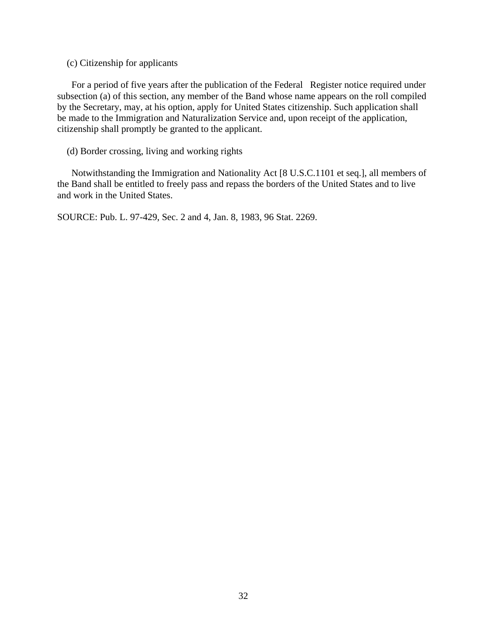(c) Citizenship for applicants

 For a period of five years after the publication of the Federal Register notice required under subsection (a) of this section, any member of the Band whose name appears on the roll compiled by the Secretary, may, at his option, apply for United States citizenship. Such application shall be made to the Immigration and Naturalization Service and, upon receipt of the application, citizenship shall promptly be granted to the applicant.

(d) Border crossing, living and working rights

 Notwithstanding the Immigration and Nationality Act [8 U.S.C.1101 et seq.], all members of the Band shall be entitled to freely pass and repass the borders of the United States and to live and work in the United States.

SOURCE: Pub. L. 97-429, Sec. 2 and 4, Jan. 8, 1983, 96 Stat. 2269.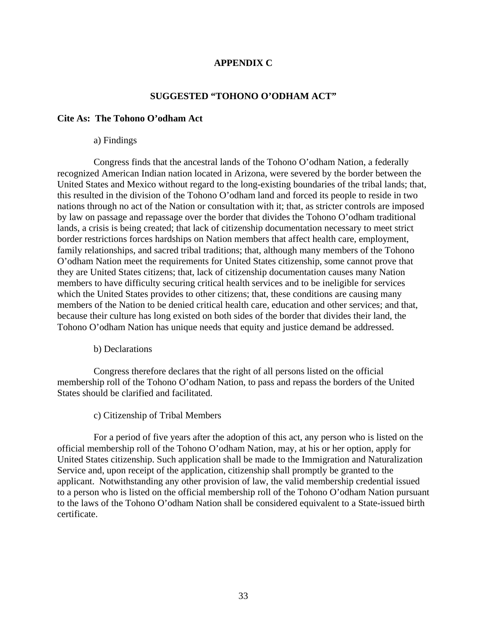## **APPENDIX C**

## **SUGGESTED "TOHONO O'ODHAM ACT"**

## **Cite As: The Tohono O'odham Act**

## a) Findings

 Congress finds that the ancestral lands of the Tohono O'odham Nation, a federally recognized American Indian nation located in Arizona, were severed by the border between the United States and Mexico without regard to the long-existing boundaries of the tribal lands; that, this resulted in the division of the Tohono O'odham land and forced its people to reside in two nations through no act of the Nation or consultation with it; that, as stricter controls are imposed by law on passage and repassage over the border that divides the Tohono O'odham traditional lands, a crisis is being created; that lack of citizenship documentation necessary to meet strict border restrictions forces hardships on Nation members that affect health care, employment, family relationships, and sacred tribal traditions; that, although many members of the Tohono O'odham Nation meet the requirements for United States citizenship, some cannot prove that they are United States citizens; that, lack of citizenship documentation causes many Nation members to have difficulty securing critical health services and to be ineligible for services which the United States provides to other citizens; that, these conditions are causing many members of the Nation to be denied critical health care, education and other services; and that, because their culture has long existed on both sides of the border that divides their land, the Tohono O'odham Nation has unique needs that equity and justice demand be addressed.

b) Declarations

 Congress therefore declares that the right of all persons listed on the official membership roll of the Tohono O'odham Nation, to pass and repass the borders of the United States should be clarified and facilitated.

c) Citizenship of Tribal Members

 For a period of five years after the adoption of this act, any person who is listed on the official membership roll of the Tohono O'odham Nation, may, at his or her option, apply for United States citizenship. Such application shall be made to the Immigration and Naturalization Service and, upon receipt of the application, citizenship shall promptly be granted to the applicant. Notwithstanding any other provision of law, the valid membership credential issued to a person who is listed on the official membership roll of the Tohono O'odham Nation pursuant to the laws of the Tohono O'odham Nation shall be considered equivalent to a State-issued birth certificate.